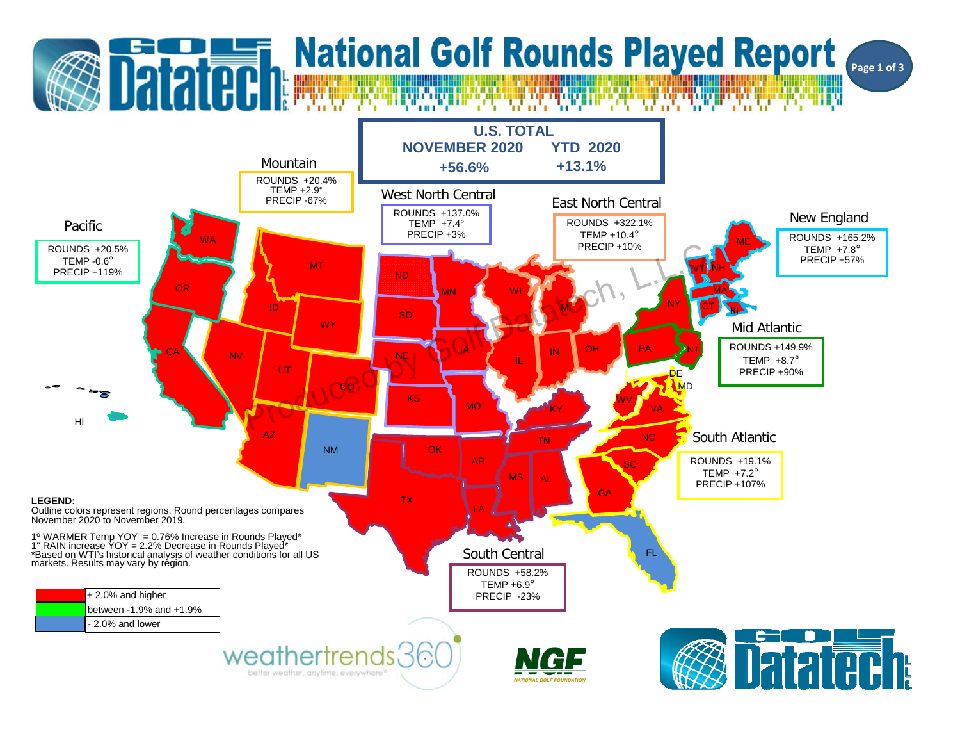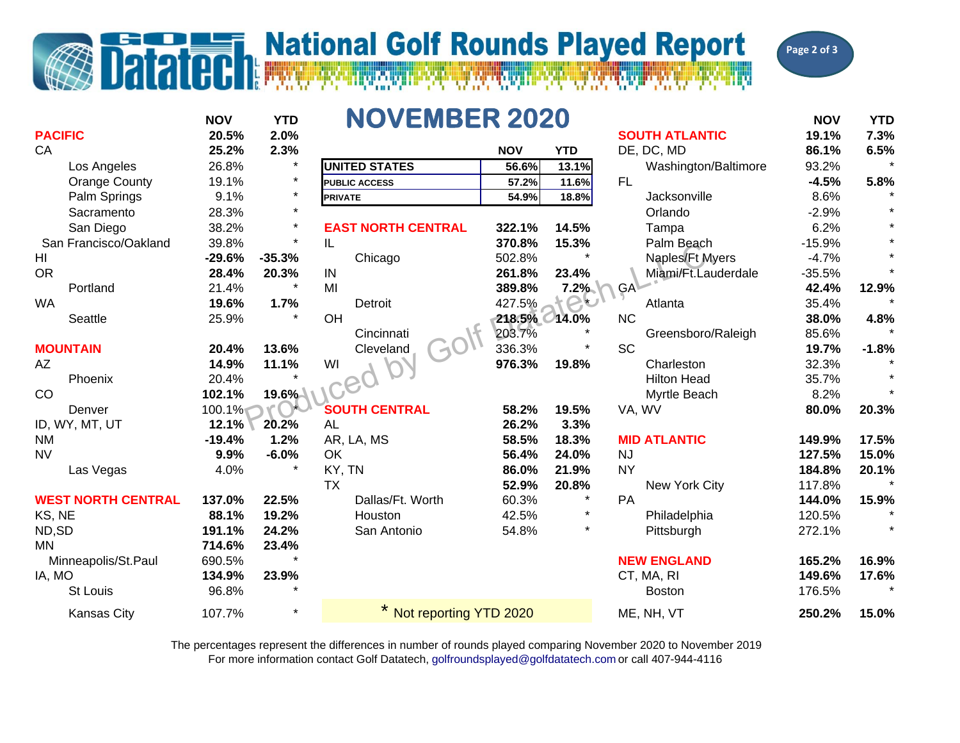

## **Datated National Golf Rounds Played Report**



|                           | <b>NOV</b> | <b>YTD</b> | <b>NOVEMBER 2020</b>      |            |            |                 |                       | <b>NOV</b> | <b>YTD</b> |
|---------------------------|------------|------------|---------------------------|------------|------------|-----------------|-----------------------|------------|------------|
| <b>PACIFIC</b>            | 20.5%      | 2.0%       |                           |            |            |                 | <b>SOUTH ATLANTIC</b> | 19.1%      | 7.3%       |
| CA                        | 25.2%      | 2.3%       |                           | <b>NOV</b> | <b>YTD</b> |                 | DE, DC, MD            | 86.1%      | 6.5%       |
| Los Angeles               | 26.8%      | $\star$    | <b>UNITED STATES</b>      | 56.6%      | 13.1%      |                 | Washington/Baltimore  | 93.2%      |            |
| <b>Orange County</b>      | 19.1%      | $\star$    | <b>PUBLIC ACCESS</b>      | 57.2%      | 11.6%      | FL.             |                       | $-4.5%$    | 5.8%       |
| Palm Springs              | 9.1%       | $\star$    | <b>PRIVATE</b>            | 54.9%      | 18.8%      |                 | Jacksonville          | 8.6%       |            |
| Sacramento                | 28.3%      | $\star$    |                           |            |            |                 | Orlando               | $-2.9%$    |            |
| San Diego                 | 38.2%      | $\star$    | <b>EAST NORTH CENTRAL</b> | 322.1%     | 14.5%      |                 | Tampa                 | 6.2%       |            |
| San Francisco/Oakland     | 39.8%      | $\star$    | IL                        | 370.8%     | 15.3%      |                 | Palm Beach            | $-15.9%$   | $\star$    |
| HI                        | $-29.6%$   | $-35.3%$   | Chicago                   | 502.8%     |            |                 | Naples/Ft Myers       | $-4.7%$    |            |
| <b>OR</b>                 | 28.4%      | 20.3%      | IN                        | 261.8%     | 23.4%      |                 | Miami/Ft.Lauderdale   | $-35.5%$   |            |
| Portland                  | 21.4%      | $\star$    | MI                        | 389.8%     | 7.2%       | GA <sup>\</sup> |                       | 42.4%      | 12.9%      |
| <b>WA</b>                 | 19.6%      | 1.7%       | Detroit                   | 427.5%     |            |                 | Atlanta               | 35.4%      |            |
| <b>Seattle</b>            | 25.9%      |            | OH                        | 218.5%     | 14.0%      | <b>NC</b>       |                       | 38.0%      | 4.8%       |
|                           |            |            | Cincinnati                | 203.7%     |            |                 | Greensboro/Raleigh    | 85.6%      |            |
| <b>MOUNTAIN</b>           | 20.4%      | 13.6%      | Cleveland                 | 336.3%     |            | <b>SC</b>       |                       | 19.7%      | $-1.8%$    |
| AZ                        | 14.9%      | 11.1%      | WI                        | 976.3%     | 19.8%      |                 | Charleston            | 32.3%      |            |
| Phoenix                   | 20.4%      |            |                           |            |            |                 | <b>Hilton Head</b>    | 35.7%      |            |
| CO                        | 102.1%     | 19.6%      |                           |            |            |                 | Myrtle Beach          | 8.2%       |            |
| Denver                    | 100.1%     |            | <b>SOUTH CENTRAL</b>      | 58.2%      | 19.5%      | VA, WV          |                       | 80.0%      | 20.3%      |
| ID, WY, MT, UT            | 12.1%      | 20.2%      | <b>AL</b>                 | 26.2%      | 3.3%       |                 |                       |            |            |
| <b>NM</b>                 | $-19.4%$   | 1.2%       | AR, LA, MS                | 58.5%      | 18.3%      |                 | <b>MID ATLANTIC</b>   | 149.9%     | 17.5%      |
| <b>NV</b>                 | 9.9%       | $-6.0%$    | OK                        | 56.4%      | 24.0%      | <b>NJ</b>       |                       | 127.5%     | 15.0%      |
| Las Vegas                 | 4.0%       |            | KY, TN                    | 86.0%      | 21.9%      | <b>NY</b>       |                       | 184.8%     | 20.1%      |
|                           |            |            | <b>TX</b>                 | 52.9%      | 20.8%      |                 | New York City         | 117.8%     |            |
| <b>WEST NORTH CENTRAL</b> | 137.0%     | 22.5%      | Dallas/Ft. Worth          | 60.3%      |            | PA              |                       | 144.0%     | 15.9%      |
| KS, NE                    | 88.1%      | 19.2%      | Houston                   | 42.5%      | $\star$    |                 | Philadelphia          | 120.5%     |            |
| ND,SD                     | 191.1%     | 24.2%      | San Antonio               | 54.8%      | $\star$    |                 | Pittsburgh            | 272.1%     |            |
| MN                        | 714.6%     | 23.4%      |                           |            |            |                 |                       |            |            |
| Minneapolis/St.Paul       | 690.5%     |            |                           |            |            |                 | <b>NEW ENGLAND</b>    | 165.2%     | 16.9%      |
| IA, MO                    | 134.9%     | 23.9%      |                           |            |            |                 | CT, MA, RI            | 149.6%     | 17.6%      |
| <b>St Louis</b>           | 96.8%      |            |                           |            |            |                 | <b>Boston</b>         | 176.5%     |            |
| Kansas City               | 107.7%     | $\star$    | Not reporting YTD 2020    |            |            |                 | ME, NH, VT            | 250.2%     | 15.0%      |

For more information contact Golf Datatech, golfroundsplayed@golfdatatech.com or call 407-944-4116 The percentages represent the differences in number of rounds played comparing November 2020 to November 2019